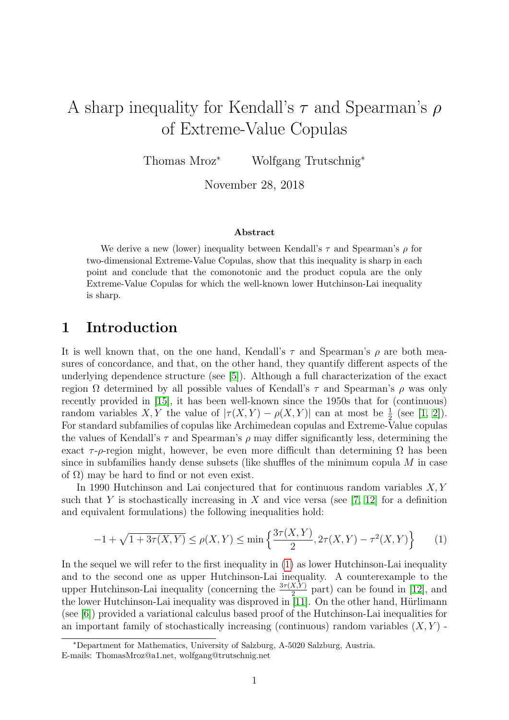# A sharp inequality for Kendall's  $\tau$  and Spearman's  $\rho$ of Extreme-Value Copulas

Thomas Mroz<sup>∗</sup> Wolfgang Trutschnig<sup>∗</sup>

November 28, 2018

#### Abstract

We derive a new (lower) inequality between Kendall's  $\tau$  and Spearman's  $\rho$  for two-dimensional Extreme-Value Copulas, show that this inequality is sharp in each point and conclude that the comonotonic and the product copula are the only Extreme-Value Copulas for which the well-known lower Hutchinson-Lai inequality is sharp.

# 1 Introduction

It is well known that, on the one hand, Kendall's  $\tau$  and Spearman's  $\rho$  are both measures of concordance, and that, on the other hand, they quantify different aspects of the underlying dependence structure (see [\[5\]](#page-8-0)). Although a full characterization of the exact region Ω determined by all possible values of Kendall's  $\tau$  and Spearman's  $\rho$  was only recently provided in [\[15\]](#page-8-1), it has been well-known since the 1950s that for (continuous) random variables X, Y the value of  $|\tau(X,Y) - \rho(X,Y)|$  can at most be  $\frac{1}{2}$  (see [\[1,](#page-7-0) [2\]](#page-7-1)). For standard subfamilies of copulas like Archimedean copulas and Extreme-Value copulas the values of Kendall's  $\tau$  and Spearman's  $\rho$  may differ significantly less, determining the exact  $\tau$ -ρ-region might, however, be even more difficult than determining  $\Omega$  has been since in subfamilies handy dense subsets (like shuffles of the minimum copula  $M$  in case of  $\Omega$ ) may be hard to find or not even exist.

In 1990 Hutchinson and Lai conjectured that for continuous random variables  $X, Y$ such that Y is stochastically increasing in X and vice versa (see  $[7, 12]$  $[7, 12]$  for a definition and equivalent formulations) the following inequalities hold:

<span id="page-0-0"></span>
$$
-1 + \sqrt{1 + 3\tau(X, Y)} \le \rho(X, Y) \le \min\left\{\frac{3\tau(X, Y)}{2}, 2\tau(X, Y) - \tau^2(X, Y)\right\} \tag{1}
$$

In the sequel we will refer to the first inequality in [\(1\)](#page-0-0) as lower Hutchinson-Lai inequality and to the second one as upper Hutchinson-Lai inequality. A counterexample to the upper Hutchinson-Lai inequality (concerning the  $\frac{3\tau(X,Y)}{2}$  part) can be found in [\[12\]](#page-8-3), and the lower Hutchinson-Lai inequality was disproved in [\[11\]](#page-8-4). On the other hand, Hürlimann (see [\[6\]](#page-8-5)) provided a variational calculus based proof of the Hutchinson-Lai inequalities for an important family of stochastically increasing (continuous) random variables  $(X, Y)$  -

<sup>∗</sup>Department for Mathematics, University of Salzburg, A-5020 Salzburg, Austria. E-mails: ThomasMroz@a1.net, wolfgang@trutschnig.net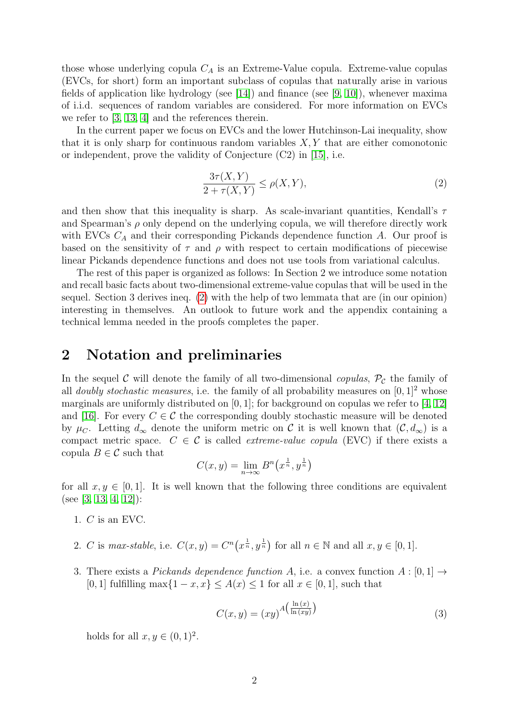those whose underlying copula  $C_A$  is an Extreme-Value copula. Extreme-value copulas (EVCs, for short) form an important subclass of copulas that naturally arise in various fields of application like hydrology (see [\[14\]](#page-8-6)) and finance (see [\[9,](#page-8-7) [10\]](#page-8-8)), whenever maxima of i.i.d. sequences of random variables are considered. For more information on EVCs we refer to [\[3,](#page-7-2) [13,](#page-8-9) [4\]](#page-8-10) and the references therein.

In the current paper we focus on EVCs and the lower Hutchinson-Lai inequality, show that it is only sharp for continuous random variables  $X, Y$  that are either comonotonic or independent, prove the validity of Conjecture (C2) in [\[15\]](#page-8-1), i.e.

<span id="page-1-0"></span>
$$
\frac{3\tau(X,Y)}{2+\tau(X,Y)} \le \rho(X,Y),\tag{2}
$$

and then show that this inequality is sharp. As scale-invariant quantities, Kendall's  $\tau$ and Spearman's  $\rho$  only depend on the underlying copula, we will therefore directly work with EVCs  $C_A$  and their corresponding Pickands dependence function A. Our proof is based on the sensitivity of  $\tau$  and  $\rho$  with respect to certain modifications of piecewise linear Pickands dependence functions and does not use tools from variational calculus.

The rest of this paper is organized as follows: In Section 2 we introduce some notation and recall basic facts about two-dimensional extreme-value copulas that will be used in the sequel. Section 3 derives ineq. [\(2\)](#page-1-0) with the help of two lemmata that are (in our opinion) interesting in themselves. An outlook to future work and the appendix containing a technical lemma needed in the proofs completes the paper.

# 2 Notation and preliminaries

In the sequel C will denote the family of all two-dimensional copulas,  $\mathcal{P}_{\mathcal{C}}$  the family of all *doubly stochastic measures*, i.e. the family of all probability measures on  $[0, 1]^2$  whose marginals are uniformly distributed on  $[0, 1]$ ; for background on copulas we refer to  $[4, 12]$  $[4, 12]$ and [\[16\]](#page-8-11). For every  $C \in \mathcal{C}$  the corresponding doubly stochastic measure will be denoted by  $\mu_C$ . Letting  $d_{\infty}$  denote the uniform metric on C it is well known that  $(\mathcal{C}, d_{\infty})$  is a compact metric space.  $C \in \mathcal{C}$  is called *extreme-value copula* (EVC) if there exists a copula  $B \in \mathcal{C}$  such that

$$
C(x, y) = \lim_{n \to \infty} B^n(x^{\frac{1}{n}}, y^{\frac{1}{n}})
$$

for all  $x, y \in [0, 1]$ . It is well known that the following three conditions are equivalent (see [\[3,](#page-7-2) [13,](#page-8-9) [4,](#page-8-10) [12\]](#page-8-3)):

- 1. C is an EVC.
- 2. C is max-stable, i.e.  $C(x, y) = C^n(x^{\frac{1}{n}}, y^{\frac{1}{n}})$  for all  $n \in \mathbb{N}$  and all  $x, y \in [0, 1]$ .
- 3. There exists a *Pickands dependence function A*, i.e. a convex function  $A : [0,1] \rightarrow$ [0, 1] fulfilling max $\{1-x, x\} \leq A(x) \leq 1$  for all  $x \in [0, 1]$ , such that

<span id="page-1-1"></span>
$$
C(x,y) = (xy)^{A\left(\frac{\ln(x)}{\ln(xy)}\right)}
$$
\n(3)

holds for all  $x, y \in (0, 1)^2$ .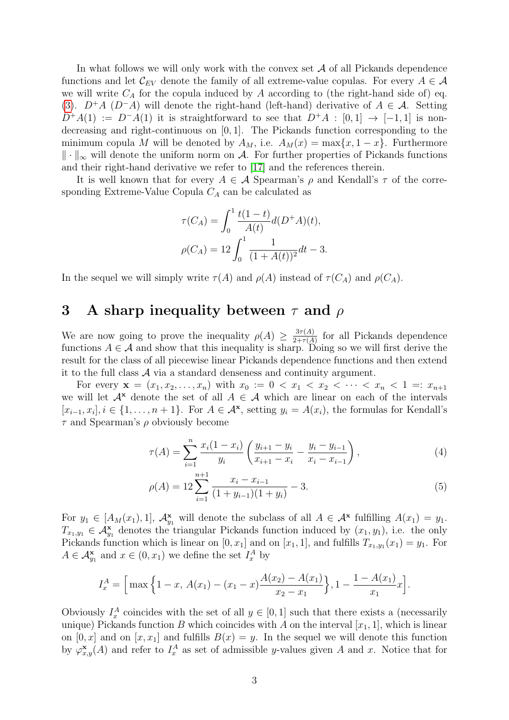In what follows we will only work with the convex set  $A$  of all Pickands dependence functions and let  $\mathcal{C}_{EV}$  denote the family of all extreme-value copulas. For every  $A \in \mathcal{A}$ we will write  $C_A$  for the copula induced by A according to (the right-hand side of) eq. [\(3\)](#page-1-1).  $D^+A$  (D<sup>-</sup>A) will denote the right-hand (left-hand) derivative of  $A \in \mathcal{A}$ . Setting  $D^+A(1) := D^-A(1)$  it is straightforward to see that  $D^+A : [0,1] \rightarrow [-1,1]$  is nondecreasing and right-continuous on [0, 1]. The Pickands function corresponding to the minimum copula M will be denoted by  $A_M$ , i.e.  $A_M(x) = \max\{x, 1-x\}$ . Furthermore  $\|\cdot\|_{\infty}$  will denote the uniform norm on A. For further properties of Pickands functions and their right-hand derivative we refer to [\[17\]](#page-8-12) and the references therein.

It is well known that for every  $A \in \mathcal{A}$  Spearman's  $\rho$  and Kendall's  $\tau$  of the corresponding Extreme-Value Copula  $C_A$  can be calculated as

$$
\tau(C_A) = \int_0^1 \frac{t(1-t)}{A(t)} d(D^+A)(t),
$$
  

$$
\rho(C_A) = 12 \int_0^1 \frac{1}{(1+A(t))^2} dt - 3.
$$

In the sequel we will simply write  $\tau(A)$  and  $\rho(A)$  instead of  $\tau(C_A)$  and  $\rho(C_A)$ .

#### 3 A sharp inequality between  $\tau$  and  $\rho$

We are now going to prove the inequality  $\rho(A) \geq \frac{3\tau(A)}{2+\tau(A)}$  $\frac{3\tau(A)}{2+\tau(A)}$  for all Pickands dependence functions  $A \in \mathcal{A}$  and show that this inequality is sharp. Doing so we will first derive the result for the class of all piecewise linear Pickands dependence functions and then extend it to the full class  $A$  via a standard denseness and continuity argument.

For every  $\mathbf{x} = (x_1, x_2, \dots, x_n)$  with  $x_0 := 0 < x_1 < x_2 < \dots < x_n < 1 =: x_{n+1}$ we will let  $A^x$  denote the set of all  $A \in \mathcal{A}$  which are linear on each of the intervals  $[x_{i-1}, x_i], i \in \{1, \ldots, n+1\}$ . For  $A \in \mathcal{A}^{\mathbf{x}}$ , setting  $y_i = A(x_i)$ , the formulas for Kendall's  $\tau$  and Spearman's  $\rho$  obviously become

<span id="page-2-0"></span>
$$
\tau(A) = \sum_{i=1}^{n} \frac{x_i (1 - x_i)}{y_i} \left( \frac{y_{i+1} - y_i}{x_{i+1} - x_i} - \frac{y_i - y_{i-1}}{x_i - x_{i-1}} \right),\tag{4}
$$

<span id="page-2-1"></span>
$$
\rho(A) = 12 \sum_{i=1}^{n+1} \frac{x_i - x_{i-1}}{(1 + y_{i-1})(1 + y_i)} - 3.
$$
\n(5)

For  $y_1 \in [A_M(x_1), 1]$ ,  $\mathcal{A}_{y_1}^{\mathbf{x}}$  will denote the subclass of all  $A \in \mathcal{A}^{\mathbf{x}}$  fulfilling  $A(x_1) = y_1$ .  $T_{x_1,y_1} \in \mathcal{A}_{y_1}^{\mathbf{x}}$  denotes the triangular Pickands function induced by  $(x_1, y_1)$ , i.e. the only Pickands function which is linear on  $[0, x_1]$  and on  $[x_1, 1]$ , and fulfills  $T_{x_1, y_1}(x_1) = y_1$ . For  $A \in \mathcal{A}_{y_1}^{\mathbf{x}}$  and  $x \in (0, x_1)$  we define the set  $I_x^A$  by

$$
I_x^A = \Big[\max\Big\{1-x, A(x_1) - (x_1 - x)\frac{A(x_2) - A(x_1)}{x_2 - x_1}\Big\}, 1 - \frac{1 - A(x_1)}{x_1}x\Big].
$$

Obviously  $I_x^A$  coincides with the set of all  $y \in [0,1]$  such that there exists a (necessarily unique) Pickands function B which coincides with A on the interval  $[x_1, 1]$ , which is linear on  $[0, x]$  and on  $[x, x_1]$  and fulfills  $B(x) = y$ . In the sequel we will denote this function by  $\varphi_{x,y}^{\mathbf{x}}(A)$  and refer to  $I_x^A$  as set of admissible y-values given A and x. Notice that for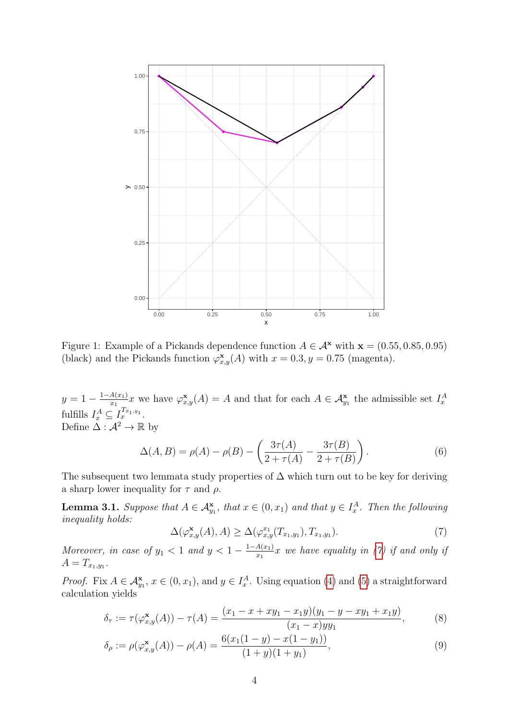

Figure 1: Example of a Pickands dependence function  $A \in \mathcal{A}^{\mathbf{x}}$  with  $\mathbf{x} = (0.55, 0.85, 0.95)$ (black) and the Pickands function  $\varphi_{x,y}^{\mathbf{x}}(A)$  with  $x = 0.3, y = 0.75$  (magenta).

 $y=1-\frac{1-A(x_1)}{x_1}$  $\frac{A(x_1)}{x_1}x$  we have  $\varphi_{x,y}^{\mathbf{x}}(A) = A$  and that for each  $A \in \mathcal{A}_{y_1}^{\mathbf{x}}$  the admissible set  $I_x^A$ fulfills  $I_x^A \subseteq I_x^{T_{x_1,y_1}}$ . Define  $\tilde{\Delta}: \mathcal{A}^2 \to \mathbb{R}$  by

$$
\Delta(A, B) = \rho(A) - \rho(B) - \left(\frac{3\tau(A)}{2 + \tau(A)} - \frac{3\tau(B)}{2 + \tau(B)}\right).
$$
 (6)

The subsequent two lemmata study properties of  $\Delta$  which turn out to be key for deriving a sharp lower inequality for  $\tau$  and  $\rho$ .

**Lemma 3.1.** Suppose that  $A \in \mathcal{A}_{y_1}^{\mathbf{x}},$  that  $x \in (0, x_1)$  and that  $y \in I_x^A$ . Then the following inequality holds:

<span id="page-3-0"></span>
$$
\Delta(\varphi_{x,y}^{\mathbf{x}}(A), A) \ge \Delta(\varphi_{x,y}^{x_1}(T_{x_1,y_1}), T_{x_1,y_1}). \tag{7}
$$

Moreover, in case of  $y_1 < 1$  and  $y < 1 - \frac{1-A(x_1)}{x_1}$  $\frac{A(x_1)}{x_1}x$  we have equality in [\(7\)](#page-3-0) if and only if  $A=T_{x_1,y_1}.$ 

*Proof.* Fix  $A \in \mathcal{A}_{y_1}^{\mathbf{x}}, x \in (0, x_1)$ , and  $y \in I_x^A$ . Using equation [\(4\)](#page-2-0) and [\(5\)](#page-2-1) a straightforward calculation yields

$$
\delta_{\tau} := \tau(\varphi_{x,y}^{\mathbf{x}}(A)) - \tau(A) = \frac{(x_1 - x + xy_1 - x_1y)(y_1 - y - xy_1 + x_1y)}{(x_1 - x)yy_1},
$$
(8)

$$
\delta_{\rho} := \rho(\varphi_{x,y}^{\mathbf{x}}(A)) - \rho(A) = \frac{6(x_1(1-y) - x(1-y_1))}{(1+y)(1+y_1)},
$$
\n(9)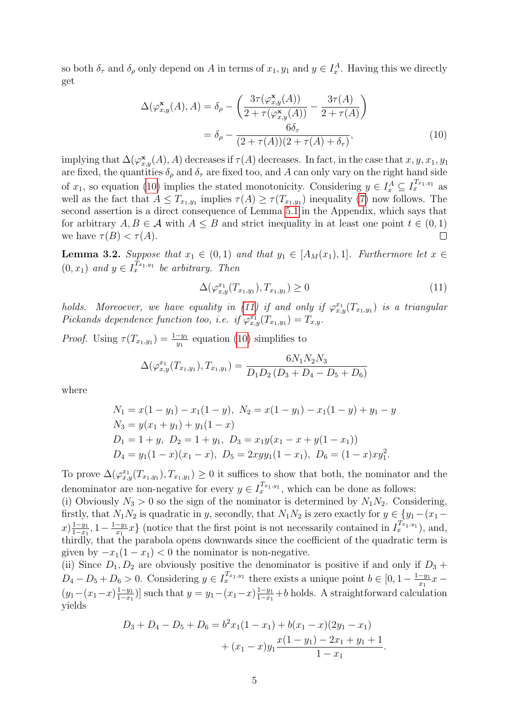so both  $\delta_{\tau}$  and  $\delta_{\rho}$  only depend on A in terms of  $x_1, y_1$  and  $y \in I_x^A$ . Having this we directly get

$$
\Delta(\varphi_{x,y}^{\mathbf{x}}(A), A) = \delta_{\rho} - \left(\frac{3\tau(\varphi_{x,y}^{\mathbf{x}}(A))}{2 + \tau(\varphi_{x,y}^{\mathbf{x}}(A))} - \frac{3\tau(A)}{2 + \tau(A)}\right)
$$

$$
= \delta_{\rho} - \frac{6\delta_{\tau}}{(2 + \tau(A))(2 + \tau(A) + \delta_{\tau})},
$$
(10)

implying that  $\Delta(\varphi_{x,y}^{\mathbf{x}}(A), A)$  decreases if  $\tau(A)$  decreases. In fact, in the case that  $x, y, x_1, y_1$ are fixed, the quantities  $\delta_{\rho}$  and  $\delta_{\tau}$  are fixed too, and A can only vary on the right hand side of  $x_1$ , so equation [\(10\)](#page-4-0) implies the stated monotonicity. Considering  $y \in I_x^A \subseteq I_x^{T_{x_1,y_1}}$  as well as the fact that  $A \leq T_{x_1,y_1}$  implies  $\tau(A) \geq \tau(T_{x_1,y_1})$  inequality [\(7\)](#page-3-0) now follows. The second assertion is a direct consequence of Lemma [5.1](#page-6-0) in the Appendix, which says that for arbitrary  $A, B \in \mathcal{A}$  with  $A \leq B$  and strict inequality in at least one point  $t \in (0, 1)$ we have  $\tau(B) < \tau(A)$ .  $\Box$ 

**Lemma 3.2.** Suppose that  $x_1 \in (0,1)$  and that  $y_1 \in [A_M(x_1),1]$ . Furthermore let  $x \in$  $(0, x_1)$  and  $y \in I_x^{T_{x_1,y_1}}$  be arbitrary. Then

<span id="page-4-1"></span><span id="page-4-0"></span>
$$
\Delta(\varphi_{x,y}^{x_1}(T_{x_1,y_1}), T_{x_1,y_1}) \ge 0 \tag{11}
$$

holds. Moreoever, we have equality in [\(11\)](#page-4-1) if and only if  $\varphi_{x,y}^{x_1}(T_{x_1,y_1})$  is a triangular Pickands dependence function too, i.e. if  $\varphi_{x,y}^{x_1}(T_{x_1,y_1})=T_{x,y}.$ 

*Proof.* Using  $\tau(T_{x_1,y_1}) = \frac{1-y_1}{y_1}$  equation [\(10\)](#page-4-0) simplifies to

$$
\Delta(\varphi_{x,y}^{x_1}(T_{x_1,y_1}), T_{x_1,y_1}) = \frac{6N_1N_2N_3}{D_1D_2(D_3 + D_4 - D_5 + D_6)}
$$

where

$$
N_1 = x(1 - y_1) - x_1(1 - y), N_2 = x(1 - y_1) - x_1(1 - y) + y_1 - y
$$
  
\n
$$
N_3 = y(x_1 + y_1) + y_1(1 - x)
$$
  
\n
$$
D_1 = 1 + y, D_2 = 1 + y_1, D_3 = x_1y(x_1 - x + y(1 - x_1))
$$
  
\n
$$
D_4 = y_1(1 - x)(x_1 - x), D_5 = 2xyy_1(1 - x_1), D_6 = (1 - x)xy_1^2.
$$

To prove  $\Delta(\varphi_{x,y}^{x_1}(T_{x_1,y_1}), T_{x_1,y_1}) \geq 0$  it suffices to show that both, the nominator and the denominator are non-negative for every  $y \in I_x^{T_{x_1,y_1}}$ , which can be done as follows:

(i) Obviously  $N_3 > 0$  so the sign of the nominator is determined by  $N_1N_2$ . Considering, firstly, that  $N_1N_2$  is quadratic in y, secondly, that  $N_1N_2$  is zero exactly for  $y \in \{y_1-(x_1-\alpha)\}$  $x) \frac{1-y_1}{1-x_1}$  $\frac{1-y_1}{1-x_1}, 1-\frac{1-y_1}{x_1}$  $\frac{-y_1}{x_1}x$  (notice that the first point is not necessarily contained in  $I_x^{T_{x_1,y_1}}$ ), and, thirdly, that the parabola opens downwards since the coefficient of the quadratic term is given by  $-x_1(1-x_1) < 0$  the nominator is non-negative.

(ii) Since  $D_1, D_2$  are obviously positive the denominator is positive if and only if  $D_3 +$  $D_4 - D_5 + D_6 > 0$ . Considering  $y \in I_{x_1,y_1}^{T_{x_1,y_1}}$  there exists a unique point  $b \in [0,1-\frac{1-y_1}{x_1}]$  $\frac{-y_1}{x_1}x (y_1 - (x_1 - x) \frac{1 - y_1}{1 - x_1})$  $\frac{1-y_1}{1-x_1}$ ] such that  $y = y_1 - (x_1 - x) \frac{1-y_1}{1-x_1}$  $\frac{1-y_1}{1-x_1}+b$  holds. A straightforward calculation yields

$$
D_3 + D_4 - D_5 + D_6 = b^2 x_1 (1 - x_1) + b(x_1 - x)(2y_1 - x_1)
$$
  
+  $(x_1 - x)y_1 \frac{x(1 - y_1) - 2x_1 + y_1 + 1}{1 - x_1}.$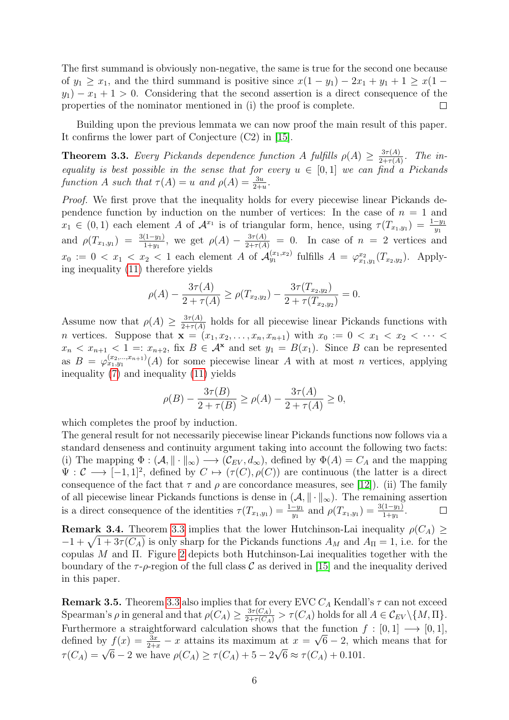The first summand is obviously non-negative, the same is true for the second one because of  $y_1 \ge x_1$ , and the third summand is positive since  $x(1 - y_1) - 2x_1 + y_1 + 1 \ge x(1$  $y_1$ ) –  $x_1 + 1 > 0$ . Considering that the second assertion is a direct consequence of the properties of the nominator mentioned in (i) the proof is complete.  $\Box$ 

Building upon the previous lemmata we can now proof the main result of this paper. It confirms the lower part of Conjecture (C2) in [\[15\]](#page-8-1).

<span id="page-5-0"></span>**Theorem 3.3.** Every Pickands dependence function A fulfills  $\rho(A) \geq \frac{3\tau(A)}{2+\tau(A)}$  $\frac{3\tau(A)}{2+\tau(A)}$ . The inequality is best possible in the sense that for every  $u \in [0,1]$  we can find a Pickands function A such that  $\tau(A) = u$  and  $\rho(A) = \frac{3u}{2+u}$ .

Proof. We first prove that the inequality holds for every piecewise linear Pickands dependence function by induction on the number of vertices: In the case of  $n = 1$  and  $x_1 \in (0,1)$  each element A of  $\mathcal{A}^{x_1}$  is of triangular form, hence, using  $\tau(T_{x_1,y_1}) = \frac{1-y_1}{y_1}$ and  $\rho(T_{x_1,y_1}) = \frac{3(1-y_1)}{1+y_1}$ , we get  $\rho(A) - \frac{3\tau(A)}{2+\tau(A)} = 0$ . In case of  $n = 2$  vertices and  $x_0 := 0 < x_1 < x_2 < 1$  each element A of  $\mathcal{A}_{y_1}^{(x_1,x_2)}$  fulfills  $A = \varphi_{x_1,y_1}^{x_2}(T_{x_2,y_2})$ . Applying inequality [\(11\)](#page-4-1) therefore yields

$$
\rho(A) - \frac{3\tau(A)}{2 + \tau(A)} \ge \rho(T_{x_2,y_2}) - \frac{3\tau(T_{x_2,y_2})}{2 + \tau(T_{x_2,y_2})} = 0.
$$

Assume now that  $\rho(A) \geq \frac{3\tau(A)}{2+\tau(A)}$  $\frac{3\tau(A)}{2+\tau(A)}$  holds for all piecewise linear Pickands functions with *n* vertices. Suppose that  $\mathbf{x} = (x_1, x_2, \ldots, x_n, x_{n+1})$  with  $x_0 := 0 < x_1 < x_2 < \cdots <$  $x_n < x_{n+1} < 1 =: x_{n+2}$ , fix  $B \in \mathcal{A}^{\mathbf{x}}$  and set  $y_1 = B(x_1)$ . Since B can be represented as  $B = \varphi_{x_1,y_1}^{(x_2,...,x_{n+1})}(A)$  for some piecewise linear A with at most n vertices, applying inequality [\(7\)](#page-3-0) and inequality [\(11\)](#page-4-1) yields

$$
\rho(B) - \frac{3\tau(B)}{2 + \tau(B)} \ge \rho(A) - \frac{3\tau(A)}{2 + \tau(A)} \ge 0,
$$

which completes the proof by induction.

The general result for not necessarily piecewise linear Pickands functions now follows via a standard denseness and continuity argument taking into account the following two facts: (i) The mapping  $\Phi : (\mathcal{A}, \|\cdot\|_{\infty}) \longrightarrow (\mathcal{C}_{EV}, d_{\infty}),$  defined by  $\Phi(A) = C_A$  and the mapping  $\Psi: \mathcal{C} \longrightarrow [-1,1]^2$ , defined by  $C \mapsto (\tau(C), \rho(C))$  are continuous (the latter is a direct consequence of the fact that  $\tau$  and  $\rho$  are concordance measures, see [\[12\]](#page-8-3)). (ii) The family of all piecewise linear Pickands functions is dense in  $(A, \|\cdot\|_{\infty})$ . The remaining assertion is a direct consequence of the identities  $\tau(T_{x_1,y_1}) = \frac{1-y_1}{y_1}$  and  $\rho(T_{x_1,y_1}) = \frac{3(1-y_1)}{1+y_1}$ .  $\Box$ 

**Remark 3.4.** Theorem [3.3](#page-5-0) implies that the lower Hutchinson-Lai inequality  $\rho(C_A) \geq$  $-1 + \sqrt{1 + 3\tau(C_A)}$  is only sharp for the Pickands functions  $A_M$  and  $A_{\Pi} = 1$ , i.e. for the copulas M and Π. Figure [2](#page-6-1) depicts both Hutchinson-Lai inequalities together with the boundary of the  $\tau$ - $\rho$ -region of the full class C as derived in [\[15\]](#page-8-1) and the inequality derived in this paper.

**Remark 3.5.** Theorem [3.3](#page-5-0) also implies that for every EVC  $C_A$  Kendall's  $\tau$  can not exceed Spearman's  $\rho$  in general and that  $\rho(C_A) \geq \frac{3\tau(C_A)}{2+\tau(C_A)} > \tau(C_A)$  holds for all  $A \in \mathcal{C}_{EV} \setminus \{M, \Pi\}.$ Furthermore a straightforward calculation shows that the function  $f : [0,1] \longrightarrow [0,1]$ , defined by  $f(x) = \frac{3x}{2+x} - x$  attains its maximum at  $x = \sqrt{6} - 2$ , which means that for  $\tau(C_A) = \sqrt{6} - 2$  we have  $\rho(C_A) \ge \tau(C_A) + 5 - 2\sqrt{6} \approx \tau(C_A) + 0.101$ .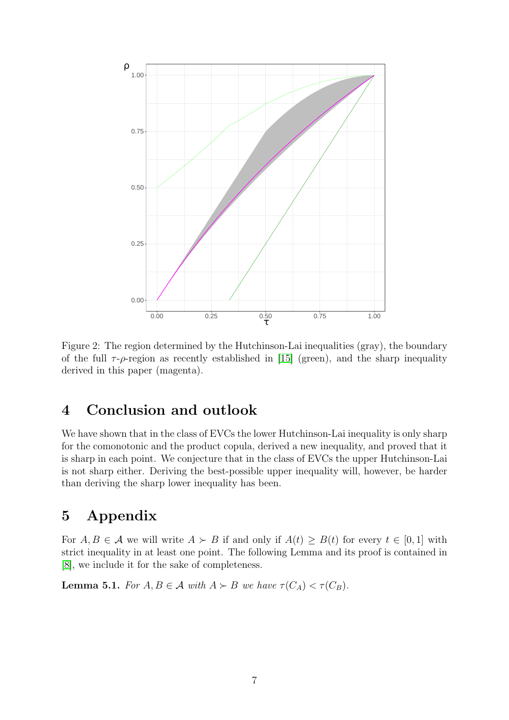

<span id="page-6-1"></span>Figure 2: The region determined by the Hutchinson-Lai inequalities (gray), the boundary of the full  $\tau$ - $\rho$ -region as recently established in [\[15\]](#page-8-1) (green), and the sharp inequality derived in this paper (magenta).

# 4 Conclusion and outlook

We have shown that in the class of EVCs the lower Hutchinson-Lai inequality is only sharp for the comonotonic and the product copula, derived a new inequality, and proved that it is sharp in each point. We conjecture that in the class of EVCs the upper Hutchinson-Lai is not sharp either. Deriving the best-possible upper inequality will, however, be harder than deriving the sharp lower inequality has been.

# 5 Appendix

For  $A, B \in \mathcal{A}$  we will write  $A \succ B$  if and only if  $A(t) \geq B(t)$  for every  $t \in [0, 1]$  with strict inequality in at least one point. The following Lemma and its proof is contained in [\[8\]](#page-8-13), we include it for the sake of completeness.

<span id="page-6-0"></span>**Lemma 5.1.** For  $A, B \in \mathcal{A}$  with  $A \succ B$  we have  $\tau(C_A) < \tau(C_B)$ .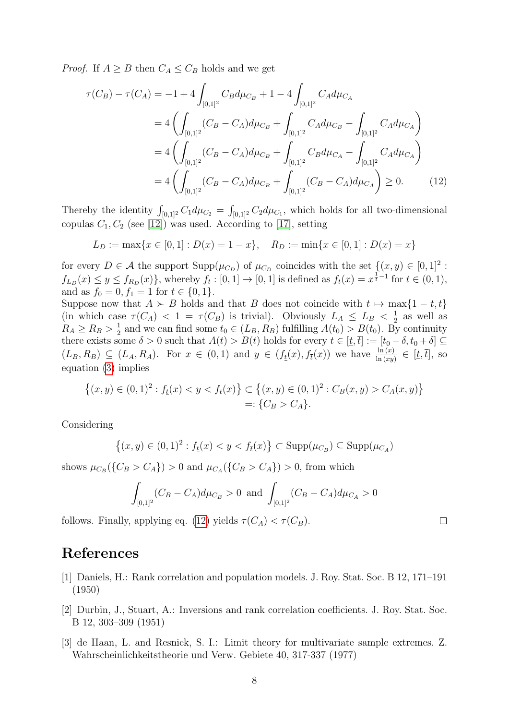*Proof.* If  $A \geq B$  then  $C_A \leq C_B$  holds and we get

$$
\tau(C_B) - \tau(C_A) = -1 + 4 \int_{[0,1]^2} C_B d\mu_{C_B} + 1 - 4 \int_{[0,1]^2} C_A d\mu_{C_A}
$$
  
=  $4 \left( \int_{[0,1]^2} (C_B - C_A) d\mu_{C_B} + \int_{[0,1]^2} C_A d\mu_{C_B} - \int_{[0,1]^2} C_A d\mu_{C_A} \right)$   
=  $4 \left( \int_{[0,1]^2} (C_B - C_A) d\mu_{C_B} + \int_{[0,1]^2} C_B d\mu_{C_A} - \int_{[0,1]^2} C_A d\mu_{C_A} \right)$   
=  $4 \left( \int_{[0,1]^2} (C_B - C_A) d\mu_{C_B} + \int_{[0,1]^2} (C_B - C_A) d\mu_{C_A} \right) \ge 0.$  (12)

Thereby the identity  $\int_{[0,1]^2} C_1 d\mu_{C_2} = \int_{[0,1]^2} C_2 d\mu_{C_1}$ , which holds for all two-dimensional copulas  $C_1, C_2$  (see [\[12\]](#page-8-3)) was used. According to [\[17\]](#page-8-12), setting

<span id="page-7-3"></span>
$$
L_D := \max\{x \in [0,1] : D(x) = 1 - x\}, \quad R_D := \min\{x \in [0,1] : D(x) = x\}
$$

for every  $D \in \mathcal{A}$  the support  $\text{Supp}(\mu_{C_D})$  of  $\mu_{C_D}$  coincides with the set  $\{(x, y) \in [0, 1]^2$ :  $f_{L_D}(x) \le y \le f_{R_D}(x)$ , whereby  $f_t : [0,1] \to [0,1]$  is defined as  $f_t(x) = x^{\frac{1}{t}-1}$  for  $t \in (0,1)$ , and as  $f_0 = 0, f_1 = 1$  for  $t \in \{0, 1\}.$ 

Suppose now that  $A \succ B$  holds and that B does not coincide with  $t \mapsto \max\{1-t, t\}$ (in which case  $\tau(C_A)$  < 1 =  $\tau(C_B)$  is trivial). Obviously  $L_A \leq L_B \leq \frac{1}{2}$  $\frac{1}{2}$  as well as  $R_A \geq R_B > \frac{1}{2}$  $\frac{1}{2}$  and we can find some  $t_0 \in (L_B, R_B)$  fulfilling  $A(t_0) > B(t_0)$ . By continuity there exists some  $\delta > 0$  such that  $A(t) > B(t)$  holds for every  $t \in [t, \bar{t}] := [t_0 - \delta, t_0 + \delta] \subseteq$  $(L_B, R_B) \subseteq (L_A, R_A)$ . For  $x \in (0, 1)$  and  $y \in (f_{\underline{t}}(x), f_{\overline{t}}(x))$  we have  $\frac{\ln(x)}{\ln(xy)} \in [\underline{t}, \overline{t}]$ , so equation [\(3\)](#page-1-1) implies

$$
\{(x,y)\in(0,1)^2: f_{\underline{t}}(x)C_A(x,y)\}=\{C_B>C_A\}.
$$

Considering

$$
\{(x,y)\in(0,1)^2:f_{\underline{t}}(x)
$$

shows  $\mu_{C_B}(\{C_B > C_A\}) > 0$  and  $\mu_{C_A}(\{C_B > C_A\}) > 0$ , from which

$$
\int_{[0,1]^2} (C_B - C_A) d\mu_{C_B} > 0 \text{ and } \int_{[0,1]^2} (C_B - C_A) d\mu_{C_A} > 0
$$

 $\Box$ 

follows. Finally, applying eq. [\(12\)](#page-7-3) yields  $\tau(C_A) < \tau(C_B)$ .

### References

- <span id="page-7-0"></span>[1] Daniels, H.: Rank correlation and population models. J. Roy. Stat. Soc. B 12, 171–191 (1950)
- <span id="page-7-1"></span>[2] Durbin, J., Stuart, A.: Inversions and rank correlation coefficients. J. Roy. Stat. Soc. B 12, 303–309 (1951)
- <span id="page-7-2"></span>[3] de Haan, L. and Resnick, S. I.: Limit theory for multivariate sample extremes. Z. Wahrscheinlichkeitstheorie und Verw. Gebiete 40, 317-337 (1977)